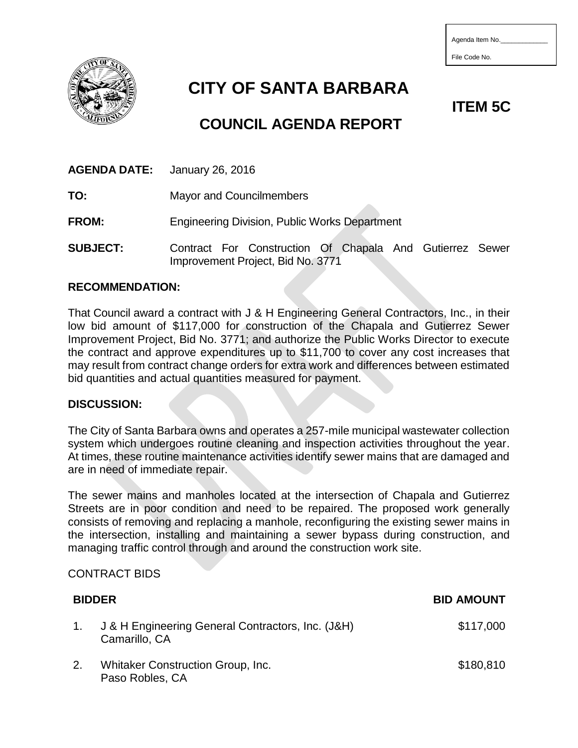| Agenda Item No. |  |  |  |  |
|-----------------|--|--|--|--|
|-----------------|--|--|--|--|

File Code No.



**CITY OF SANTA BARBARA**

# **COUNCIL AGENDA REPORT**

**TO:** Mayor and Councilmembers

**FROM:** Engineering Division, Public Works Department

**SUBJECT:** Contract For Construction Of Chapala And Gutierrez Sewer Improvement Project, Bid No. 3771

#### **RECOMMENDATION:**

That Council award a contract with J & H Engineering General Contractors, Inc., in their low bid amount of \$117,000 for construction of the Chapala and Gutierrez Sewer Improvement Project, Bid No. 3771; and authorize the Public Works Director to execute the contract and approve expenditures up to \$11,700 to cover any cost increases that may result from contract change orders for extra work and differences between estimated bid quantities and actual quantities measured for payment.

#### **DISCUSSION:**

The City of Santa Barbara owns and operates a 257-mile municipal wastewater collection system which undergoes routine cleaning and inspection activities throughout the year. At times, these routine maintenance activities identify sewer mains that are damaged and are in need of immediate repair.

The sewer mains and manholes located at the intersection of Chapala and Gutierrez Streets are in poor condition and need to be repaired. The proposed work generally consists of removing and replacing a manhole, reconfiguring the existing sewer mains in the intersection, installing and maintaining a sewer bypass during construction, and managing traffic control through and around the construction work site.

#### CONTRACT BIDS

|    | <b>BIDDER</b>                                                      | <b>BID AMOUNT</b> |
|----|--------------------------------------------------------------------|-------------------|
|    | J & H Engineering General Contractors, Inc. (J&H)<br>Camarillo, CA | \$117,000         |
| 2. | <b>Whitaker Construction Group, Inc.</b><br>Paso Robles, CA        | \$180,810         |